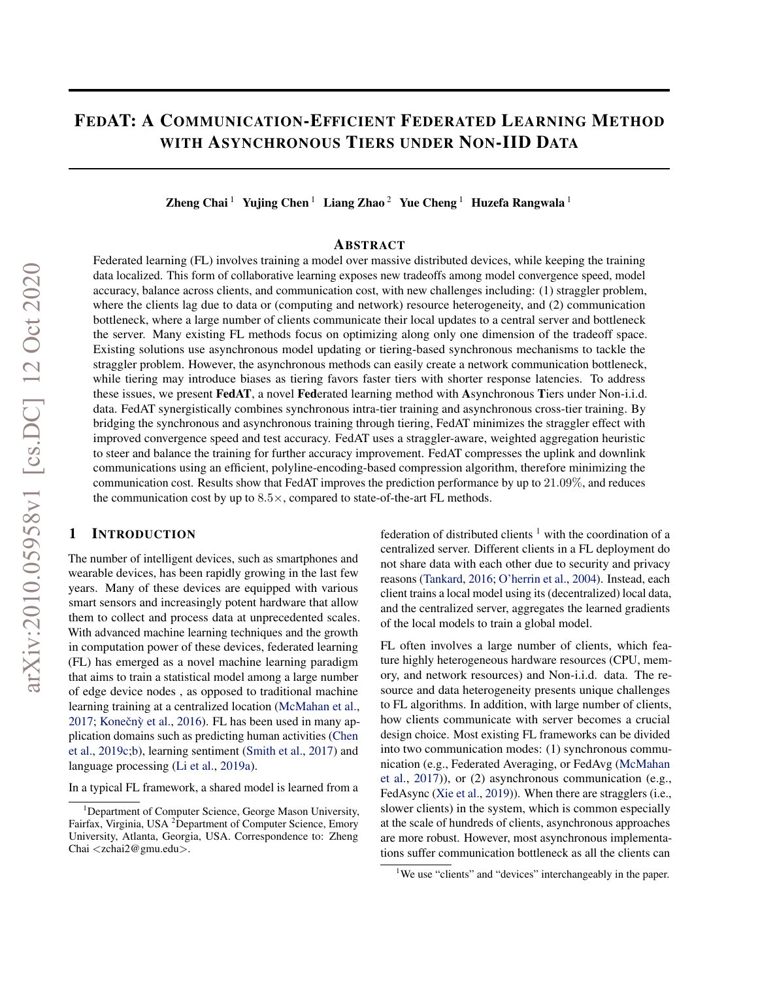# FEDAT: A COMMUNICATION-EFFICIENT FEDERATED LEARNING METHOD WITH ASYNCHRONOUS TIERS UNDER NON-IID DATA

Zheng Chai<sup>1</sup> Yujing Chen<sup>1</sup> Liang Zhao<sup>2</sup> Yue Cheng<sup>1</sup> Huzefa Rangwala<sup>1</sup>

### ABSTRACT

Federated learning (FL) involves training a model over massive distributed devices, while keeping the training data localized. This form of collaborative learning exposes new tradeoffs among model convergence speed, model accuracy, balance across clients, and communication cost, with new challenges including: (1) straggler problem, where the clients lag due to data or (computing and network) resource heterogeneity, and (2) communication bottleneck, where a large number of clients communicate their local updates to a central server and bottleneck the server. Many existing FL methods focus on optimizing along only one dimension of the tradeoff space. Existing solutions use asynchronous model updating or tiering-based synchronous mechanisms to tackle the straggler problem. However, the asynchronous methods can easily create a network communication bottleneck, while tiering may introduce biases as tiering favors faster tiers with shorter response latencies. To address these issues, we present FedAT, a novel Federated learning method with Asynchronous Tiers under Non-i.i.d. data. FedAT synergistically combines synchronous intra-tier training and asynchronous cross-tier training. By bridging the synchronous and asynchronous training through tiering, FedAT minimizes the straggler effect with improved convergence speed and test accuracy. FedAT uses a straggler-aware, weighted aggregation heuristic to steer and balance the training for further accuracy improvement. FedAT compresses the uplink and downlink communications using an efficient, polyline-encoding-based compression algorithm, therefore minimizing the communication cost. Results show that FedAT improves the prediction performance by up to 21.09%, and reduces the communication cost by up to  $8.5 \times$ , compared to state-of-the-art FL methods.

### 1 INTRODUCTION

The number of intelligent devices, such as smartphones and wearable devices, has been rapidly growing in the last few years. Many of these devices are equipped with various smart sensors and increasingly potent hardware that allow them to collect and process data at unprecedented scales. With advanced machine learning techniques and the growth in computation power of these devices, federated learning (FL) has emerged as a novel machine learning paradigm that aims to train a statistical model among a large number of edge device nodes , as opposed to traditional machine learning training at a centralized location [\(McMahan et al.,](#page-10-0) [2017;](#page-10-0) Konečnỳ et al., [2016\)](#page-10-0). FL has been used in many application domains such as predicting human activities [\(Chen](#page-10-0) [et al.,](#page-10-0) [2019c;b\)](#page-10-0), learning sentiment [\(Smith et al.,](#page-11-0) [2017\)](#page-11-0) and language processing [\(Li et al.,](#page-10-0) [2019a\)](#page-10-0).

In a typical FL framework, a shared model is learned from a

federation of distributed clients  $1$  with the coordination of a centralized server. Different clients in a FL deployment do not share data with each other due to security and privacy reasons [\(Tankard,](#page-11-0) [2016;](#page-11-0) [O'herrin et al.,](#page-10-0) [2004\)](#page-10-0). Instead, each client trains a local model using its (decentralized) local data, and the centralized server, aggregates the learned gradients of the local models to train a global model.

FL often involves a large number of clients, which feature highly heterogeneous hardware resources (CPU, memory, and network resources) and Non-i.i.d. data. The resource and data heterogeneity presents unique challenges to FL algorithms. In addition, with large number of clients, how clients communicate with server becomes a crucial design choice. Most existing FL frameworks can be divided into two communication modes: (1) synchronous communication (e.g., Federated Averaging, or FedAvg [\(McMahan](#page-10-0) [et al.,](#page-10-0) [2017\)](#page-10-0)), or (2) asynchronous communication (e.g., FedAsync [\(Xie et al.,](#page-11-0) [2019\)](#page-11-0)). When there are stragglers (i.e., slower clients) in the system, which is common especially at the scale of hundreds of clients, asynchronous approaches are more robust. However, most asynchronous implementations suffer communication bottleneck as all the clients can

<sup>&</sup>lt;sup>1</sup>Department of Computer Science, George Mason University, Fairfax, Virginia, USA <sup>2</sup>Department of Computer Science, Emory University, Atlanta, Georgia, USA. Correspondence to: Zheng Chai <zchai2@gmu.edu>.

<sup>&</sup>lt;sup>1</sup>We use "clients" and "devices" interchangeably in the paper.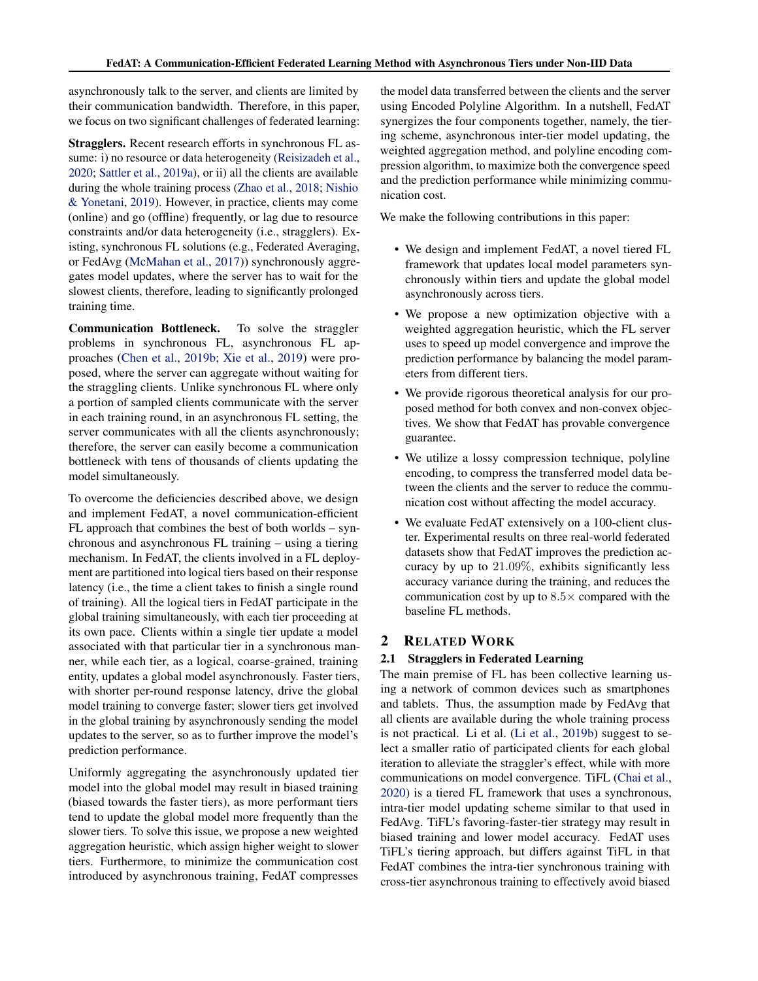<span id="page-1-0"></span>asynchronously talk to the server, and clients are limited by their communication bandwidth. Therefore, in this paper, we focus on two significant challenges of federated learning:

Stragglers. Recent research efforts in synchronous FL assume: i) no resource or data heterogeneity [\(Reisizadeh et al.,](#page-11-0) [2020;](#page-11-0) [Sattler et al.,](#page-11-0) [2019a\)](#page-11-0), or ii) all the clients are available during the whole training process [\(Zhao et al.,](#page-11-0) [2018;](#page-11-0) [Nishio](#page-10-0) [& Yonetani,](#page-10-0) [2019\)](#page-10-0). However, in practice, clients may come (online) and go (offline) frequently, or lag due to resource constraints and/or data heterogeneity (i.e., stragglers). Existing, synchronous FL solutions (e.g., Federated Averaging, or FedAvg [\(McMahan et al.,](#page-10-0) [2017\)](#page-10-0)) synchronously aggregates model updates, where the server has to wait for the slowest clients, therefore, leading to significantly prolonged training time.

Communication Bottleneck. To solve the straggler problems in synchronous FL, asynchronous FL approaches [\(Chen et al.,](#page-10-0) [2019b;](#page-10-0) [Xie et al.,](#page-11-0) [2019\)](#page-11-0) were proposed, where the server can aggregate without waiting for the straggling clients. Unlike synchronous FL where only a portion of sampled clients communicate with the server in each training round, in an asynchronous FL setting, the server communicates with all the clients asynchronously; therefore, the server can easily become a communication bottleneck with tens of thousands of clients updating the model simultaneously.

To overcome the deficiencies described above, we design and implement FedAT, a novel communication-efficient FL approach that combines the best of both worlds – synchronous and asynchronous FL training – using a tiering mechanism. In FedAT, the clients involved in a FL deployment are partitioned into logical tiers based on their response latency (i.e., the time a client takes to finish a single round of training). All the logical tiers in FedAT participate in the global training simultaneously, with each tier proceeding at its own pace. Clients within a single tier update a model associated with that particular tier in a synchronous manner, while each tier, as a logical, coarse-grained, training entity, updates a global model asynchronously. Faster tiers, with shorter per-round response latency, drive the global model training to converge faster; slower tiers get involved in the global training by asynchronously sending the model updates to the server, so as to further improve the model's prediction performance.

Uniformly aggregating the asynchronously updated tier model into the global model may result in biased training (biased towards the faster tiers), as more performant tiers tend to update the global model more frequently than the slower tiers. To solve this issue, we propose a new weighted aggregation heuristic, which assign higher weight to slower tiers. Furthermore, to minimize the communication cost introduced by asynchronous training, FedAT compresses

the model data transferred between the clients and the server using Encoded Polyline Algorithm. In a nutshell, FedAT synergizes the four components together, namely, the tiering scheme, asynchronous inter-tier model updating, the weighted aggregation method, and polyline encoding compression algorithm, to maximize both the convergence speed and the prediction performance while minimizing communication cost.

We make the following contributions in this paper:

- We design and implement FedAT, a novel tiered FL framework that updates local model parameters synchronously within tiers and update the global model asynchronously across tiers.
- We propose a new optimization objective with a weighted aggregation heuristic, which the FL server uses to speed up model convergence and improve the prediction performance by balancing the model parameters from different tiers.
- We provide rigorous theoretical analysis for our proposed method for both convex and non-convex objectives. We show that FedAT has provable convergence guarantee.
- We utilize a lossy compression technique, polyline encoding, to compress the transferred model data between the clients and the server to reduce the communication cost without affecting the model accuracy.
- We evaluate FedAT extensively on a 100-client cluster. Experimental results on three real-world federated datasets show that FedAT improves the prediction accuracy by up to 21.09%, exhibits significantly less accuracy variance during the training, and reduces the communication cost by up to  $8.5\times$  compared with the baseline FL methods.

### 2 RELATED WORK

### 2.1 Stragglers in Federated Learning

The main premise of FL has been collective learning using a network of common devices such as smartphones and tablets. Thus, the assumption made by FedAvg that all clients are available during the whole training process is not practical. Li et al. [\(Li et al.,](#page-10-0) [2019b\)](#page-10-0) suggest to select a smaller ratio of participated clients for each global iteration to alleviate the straggler's effect, while with more communications on model convergence. TiFL [\(Chai et al.,](#page-10-0) [2020\)](#page-10-0) is a tiered FL framework that uses a synchronous, intra-tier model updating scheme similar to that used in FedAvg. TiFL's favoring-faster-tier strategy may result in biased training and lower model accuracy. FedAT uses TiFL's tiering approach, but differs against TiFL in that FedAT combines the intra-tier synchronous training with cross-tier asynchronous training to effectively avoid biased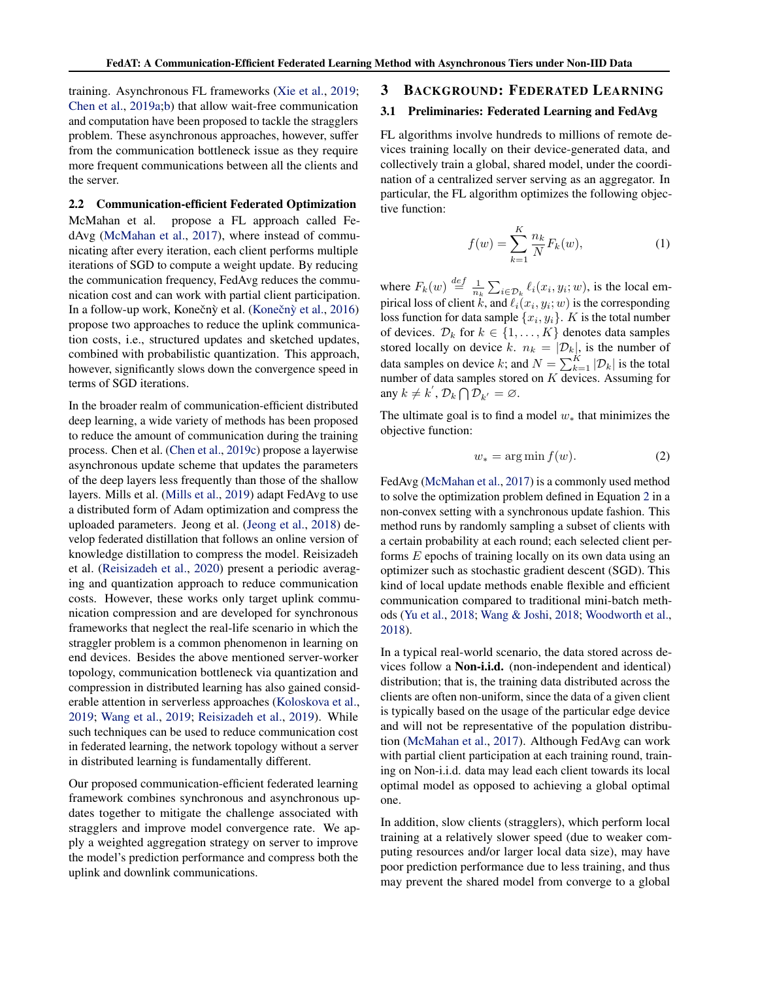<span id="page-2-0"></span>training. Asynchronous FL frameworks [\(Xie et al.,](#page-11-0) [2019;](#page-11-0) [Chen et al.,](#page-10-0) [2019a;b\)](#page-10-0) that allow wait-free communication and computation have been proposed to tackle the stragglers problem. These asynchronous approaches, however, suffer from the communication bottleneck issue as they require more frequent communications between all the clients and the server.

2.2 Communication-efficient Federated Optimization McMahan et al. propose a FL approach called FedAvg [\(McMahan et al.,](#page-10-0) [2017\)](#page-10-0), where instead of communicating after every iteration, each client performs multiple iterations of SGD to compute a weight update. By reducing the communication frequency, FedAvg reduces the communication cost and can work with partial client participation. In a follow-up work, Konečný et al. (Konečný et al., [2016\)](#page-10-0) propose two approaches to reduce the uplink communication costs, i.e., structured updates and sketched updates, combined with probabilistic quantization. This approach, however, significantly slows down the convergence speed in terms of SGD iterations.

In the broader realm of communication-efficient distributed deep learning, a wide variety of methods has been proposed to reduce the amount of communication during the training process. Chen et al. [\(Chen et al.,](#page-10-0) [2019c\)](#page-10-0) propose a layerwise asynchronous update scheme that updates the parameters of the deep layers less frequently than those of the shallow layers. Mills et al. [\(Mills et al.,](#page-10-0) [2019\)](#page-10-0) adapt FedAvg to use a distributed form of Adam optimization and compress the uploaded parameters. Jeong et al. [\(Jeong et al.,](#page-10-0) [2018\)](#page-10-0) develop federated distillation that follows an online version of knowledge distillation to compress the model. Reisizadeh et al. [\(Reisizadeh et al.,](#page-11-0) [2020\)](#page-11-0) present a periodic averaging and quantization approach to reduce communication costs. However, these works only target uplink communication compression and are developed for synchronous frameworks that neglect the real-life scenario in which the straggler problem is a common phenomenon in learning on end devices. Besides the above mentioned server-worker topology, communication bottleneck via quantization and compression in distributed learning has also gained considerable attention in serverless approaches [\(Koloskova et al.,](#page-10-0) [2019;](#page-10-0) [Wang et al.,](#page-11-0) [2019;](#page-11-0) [Reisizadeh et al.,](#page-11-0) [2019\)](#page-11-0). While such techniques can be used to reduce communication cost in federated learning, the network topology without a server in distributed learning is fundamentally different.

Our proposed communication-efficient federated learning framework combines synchronous and asynchronous updates together to mitigate the challenge associated with stragglers and improve model convergence rate. We apply a weighted aggregation strategy on server to improve the model's prediction performance and compress both the uplink and downlink communications.

#### 3 BACKGROUND: FEDERATED LEARNING

### 3.1 Preliminaries: Federated Learning and FedAvg

FL algorithms involve hundreds to millions of remote devices training locally on their device-generated data, and collectively train a global, shared model, under the coordination of a centralized server serving as an aggregator. In particular, the FL algorithm optimizes the following objective function:

$$
f(w) = \sum_{k=1}^{K} \frac{n_k}{N} F_k(w),
$$
 (1)

where  $F_k(w) \stackrel{def}{=} \frac{1}{n_k} \sum_{i \in \mathcal{D}_k} \ell_i(x_i, y_i; w)$ , is the local empirical loss of client k, and  $\ell_i(x_i, y_i; w)$  is the corresponding loss function for data sample  $\{x_i, y_i\}$ . K is the total number of devices.  $\mathcal{D}_k$  for  $k \in \{1, ..., K\}$  denotes data samples stored locally on device k.  $n_k = |\mathcal{D}_k|$ , is the number of data samples on device k; and  $N = \sum_{k=1}^{K} |\mathcal{D}_k|$  is the total number of data samples stored on  $K$  devices. Assuming for any  $k \neq k^{'}$ ,  $\mathcal{D}_k \bigcap \mathcal{D}_{k'} = \emptyset$ .

The ultimate goal is to find a model  $w_*$  that minimizes the objective function:

$$
w_* = \arg\min f(w). \tag{2}
$$

FedAvg [\(McMahan et al.,](#page-10-0) [2017\)](#page-10-0) is a commonly used method to solve the optimization problem defined in Equation 2 in a non-convex setting with a synchronous update fashion. This method runs by randomly sampling a subset of clients with a certain probability at each round; each selected client performs E epochs of training locally on its own data using an optimizer such as stochastic gradient descent (SGD). This kind of local update methods enable flexible and efficient communication compared to traditional mini-batch methods [\(Yu et al.,](#page-11-0) [2018;](#page-11-0) [Wang & Joshi,](#page-11-0) [2018;](#page-11-0) [Woodworth et al.,](#page-11-0) [2018\)](#page-11-0).

In a typical real-world scenario, the data stored across devices follow a **Non-i.i.d.** (non-independent and identical) distribution; that is, the training data distributed across the clients are often non-uniform, since the data of a given client is typically based on the usage of the particular edge device and will not be representative of the population distribution [\(McMahan et al.,](#page-10-0) [2017\)](#page-10-0). Although FedAvg can work with partial client participation at each training round, training on Non-i.i.d. data may lead each client towards its local optimal model as opposed to achieving a global optimal one.

In addition, slow clients (stragglers), which perform local training at a relatively slower speed (due to weaker computing resources and/or larger local data size), may have poor prediction performance due to less training, and thus may prevent the shared model from converge to a global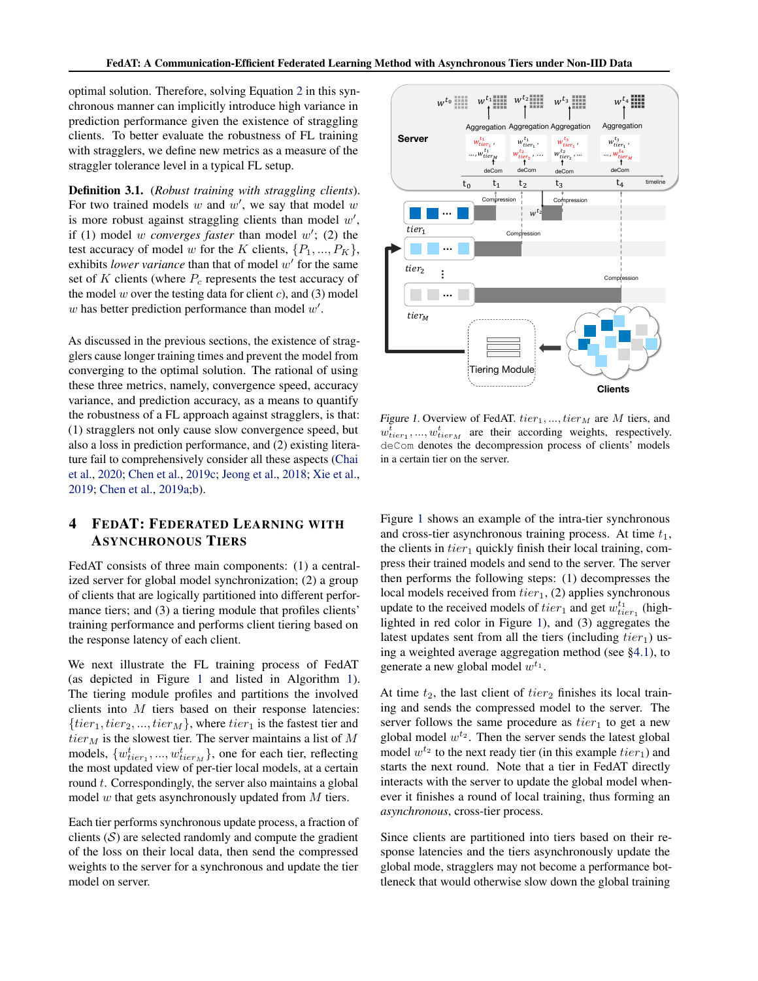<span id="page-3-0"></span>optimal solution. Therefore, solving Equation [2](#page-2-0) in this synchronous manner can implicitly introduce high variance in prediction performance given the existence of straggling clients. To better evaluate the robustness of FL training with stragglers, we define new metrics as a measure of the straggler tolerance level in a typical FL setup.

Definition 3.1. (*Robust training with straggling clients*). For two trained models  $w$  and  $w'$ , we say that model  $w$ is more robust against straggling clients than model  $w'$ , if (1) model  $w$  *converges faster* than model  $w'$ ; (2) the test accuracy of model w for the K clients,  $\{P_1, ..., P_K\}$ , exhibits *lower variance* than that of model  $w'$  for the same set of K clients (where  $P_c$  represents the test accuracy of the model w over the testing data for client  $c$ ), and (3) model  $w$  has better prediction performance than model  $w'$ .

As discussed in the previous sections, the existence of stragglers cause longer training times and prevent the model from converging to the optimal solution. The rational of using these three metrics, namely, convergence speed, accuracy variance, and prediction accuracy, as a means to quantify the robustness of a FL approach against stragglers, is that: (1) stragglers not only cause slow convergence speed, but also a loss in prediction performance, and (2) existing literature fail to comprehensively consider all these aspects [\(Chai](#page-10-0) [et al.,](#page-10-0) [2020;](#page-10-0) [Chen et al.,](#page-10-0) [2019c;](#page-10-0) [Jeong et al.,](#page-10-0) [2018;](#page-10-0) [Xie et al.,](#page-11-0) [2019;](#page-11-0) [Chen et al.,](#page-10-0) [2019a;b\)](#page-10-0).

## 4 FEDAT: FEDERATED LEARNING WITH ASYNCHRONOUS TIERS

FedAT consists of three main components: (1) a centralized server for global model synchronization; (2) a group of clients that are logically partitioned into different performance tiers; and (3) a tiering module that profiles clients' training performance and performs client tiering based on the response latency of each client.

We next illustrate the FL training process of FedAT (as depicted in Figure 1 and listed in Algorithm [1\)](#page-4-0). The tiering module profiles and partitions the involved clients into  $M$  tiers based on their response latencies:  $\{tier_1, tier_2, ..., tier_M\}$ , where  $tier_1$  is the fastest tier and  $tier_{M}$  is the slowest tier. The server maintains a list of  $M$ models,  $\{w_{tier_1}^t, ..., w_{tier_M}^t\}$ , one for each tier, reflecting the most updated view of per-tier local models, at a certain round  $t$ . Correspondingly, the server also maintains a global model  $w$  that gets asynchronously updated from  $M$  tiers.

Each tier performs synchronous update process, a fraction of clients  $(S)$  are selected randomly and compute the gradient of the loss on their local data, then send the compressed weights to the server for a synchronous and update the tier model on server.



Figure 1. Overview of FedAT.  $tier_1, ..., iter_M$  are M tiers, and  $w_{tier_1}^t, ..., w_{tier_M}^t$  are their according weights, respectively. deCom denotes the decompression process of clients' models in a certain tier on the server.

Figure 1 shows an example of the intra-tier synchronous and cross-tier asynchronous training process. At time  $t_1$ , the clients in  $tier_1$  quickly finish their local training, compress their trained models and send to the server. The server then performs the following steps: (1) decompresses the local models received from  $tier_1$ , (2) applies synchronous update to the received models of  $tier_1$  and get  $w_{tier_1}^{t_1}$  (highlighted in red color in Figure 1), and (3) aggregates the latest updates sent from all the tiers (including  $tier_1$ ) using a weighted average aggregation method (see [§4.1\)](#page-4-0), to generate a new global model  $w^{t_1}$ .

At time  $t_2$ , the last client of  $tier_2$  finishes its local training and sends the compressed model to the server. The server follows the same procedure as  $tier_1$  to get a new global model  $w^{t_2}$ . Then the server sends the latest global model  $w^{t_2}$  to the next ready tier (in this example  $tier_1$ ) and starts the next round. Note that a tier in FedAT directly interacts with the server to update the global model whenever it finishes a round of local training, thus forming an *asynchronous*, cross-tier process.

Since clients are partitioned into tiers based on their response latencies and the tiers asynchronously update the global mode, stragglers may not become a performance bottleneck that would otherwise slow down the global training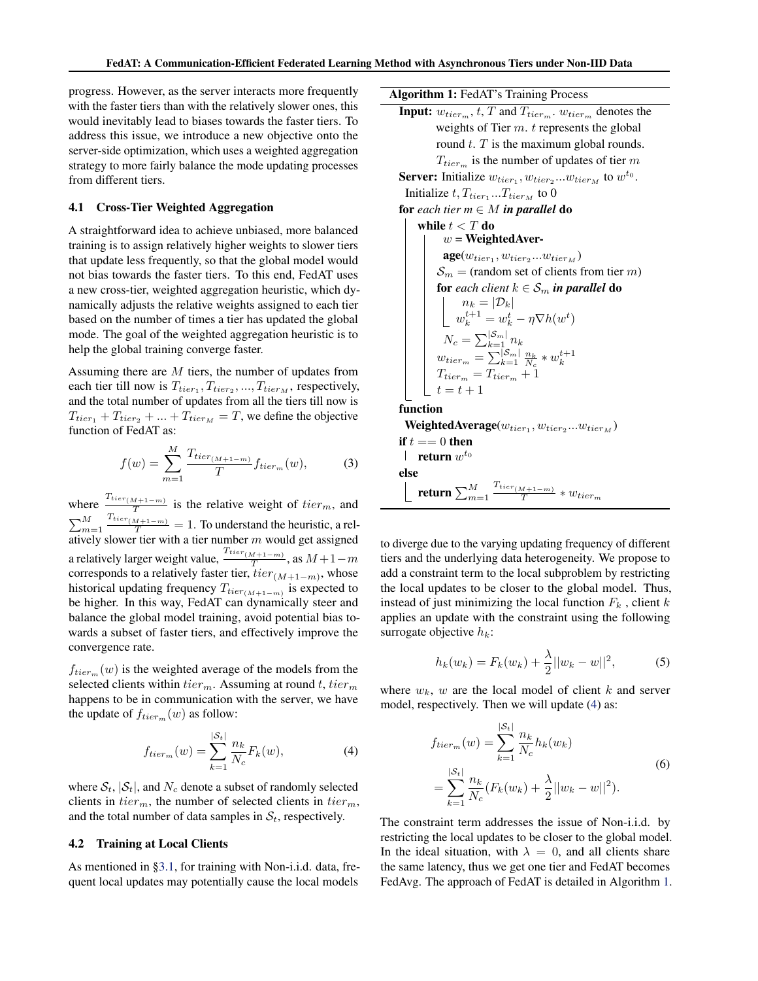<span id="page-4-0"></span>progress. However, as the server interacts more frequently with the faster tiers than with the relatively slower ones, this would inevitably lead to biases towards the faster tiers. To address this issue, we introduce a new objective onto the server-side optimization, which uses a weighted aggregation strategy to more fairly balance the mode updating processes from different tiers.

#### 4.1 Cross-Tier Weighted Aggregation

A straightforward idea to achieve unbiased, more balanced training is to assign relatively higher weights to slower tiers that update less frequently, so that the global model would not bias towards the faster tiers. To this end, FedAT uses a new cross-tier, weighted aggregation heuristic, which dynamically adjusts the relative weights assigned to each tier based on the number of times a tier has updated the global mode. The goal of the weighted aggregation heuristic is to help the global training converge faster.

Assuming there are M tiers, the number of updates from each tier till now is  $T_{tier_1}, T_{tier_2}, ..., T_{tier_M}$ , respectively, and the total number of updates from all the tiers till now is  $T_{tier_1} + T_{tier_2} + \ldots + T_{tier_M} = T$ , we define the objective function of FedAT as:

$$
f(w) = \sum_{m=1}^{M} \frac{T_{tier_{(M+1-m)}}}{T} f_{tier_m}(w),
$$
 (3)

where  $\frac{T_{tier_{(M+1-m)}}}{T}$  $\frac{M+1-m}{T}$  is the relative weight of  $tier_m$ , and  $\sum_{m=1}^{M} \frac{T_{tier_{(M+1-m)}}}{T} = 1$ . To understand the heuristic, a relatively slower tier with a tier number  $m$  would get assigned a relatively larger weight value,  $\frac{T_{tier_{(M+1-m)}}}{T}$  $\frac{M+1-m)}{T}$ , as  $M+1-m$ corresponds to a relatively faster tier,  $tier_{(M+1-m)}$ , whose historical updating frequency  $T_{tier_{(M+1-m)}}$  is expected to be higher. In this way, FedAT can dynamically steer and balance the global model training, avoid potential bias towards a subset of faster tiers, and effectively improve the convergence rate.

 $f_{tier_m}(w)$  is the weighted average of the models from the selected clients within  $tier_m$ . Assuming at round t, tier<sub>m</sub> happens to be in communication with the server, we have the update of  $f_{tier_m}(w)$  as follow:

$$
f_{tier_m}(w) = \sum_{k=1}^{|S_t|} \frac{n_k}{N_c} F_k(w),
$$
 (4)

where  $S_t$ ,  $|S_t|$ , and  $N_c$  denote a subset of randomly selected clients in  $tier_m$ , the number of selected clients in  $tier_m$ , and the total number of data samples in  $S_t$ , respectively.

#### 4.2 Training at Local Clients

As mentioned in [§3.1,](#page-2-0) for training with Non-i.i.d. data, frequent local updates may potentially cause the local models

Algorithm 1: FedAT's Training Process

**Input:**  $w_{tier_m}$ ,  $t$ ,  $T$  and  $T_{tier_m}$ .  $w_{tier_m}$  denotes the weights of Tier  $m$ .  $t$  represents the global round  $t$ .  $T$  is the maximum global rounds.  $T_{tier_m}$  is the number of updates of tier m **Server:** Initialize  $w_{tier_1}, w_{tier_2}...w_{tier_M}$  to  $w^{t_0}$ . Initialize  $t, T_{tier_1}...T_{tier_M}$  to 0 for *each tier*  $m \in M$  *in parallel* do while  $t < T$  do  $w =$ WeightedAver- $\mathbf{age}(w_{tier_1}, w_{tier_2}...w_{tier_M})$  $S_m$  = (random set of clients from tier m) for *each client*  $k \in S_m$  *in parallel* do  $n_k = |\mathcal{D}_k|$  $w_k^{t+1} = w_k^t - \eta \nabla h(w^t)$  $N_c = \sum_{k=1}^{\left|\mathcal{S}_m\right|} n_k$  $w_{tier_m} = \sum_{k=1}^{|\mathcal{S}_m|} \frac{n_k}{N_c} * w_k^{t+1}$ <br>  $T_{tier_m} = T_{tier_m} + 1$  $t = t + 1$ function  $\textbf{WeightedAverage}(w_{tier_1}, w_{tier_2}...w_{tier_M})$ if  $t == 0$  then return  $w^{t_0}$ else return  $\sum_{m=1}^{M}\frac{T_{tier_{(M+1-m)}}}{T}$  $\frac{w_{t+1-m}}{T} * w_{tier_m}$ 

to diverge due to the varying updating frequency of different tiers and the underlying data heterogeneity. We propose to add a constraint term to the local subproblem by restricting the local updates to be closer to the global model. Thus, instead of just minimizing the local function  $F_k$ , client k applies an update with the constraint using the following surrogate objective  $h_k$ :

$$
h_k(w_k) = F_k(w_k) + \frac{\lambda}{2} ||w_k - w||^2, \tag{5}
$$

where  $w_k$ , w are the local model of client k and server model, respectively. Then we will update (4) as:

$$
f_{tier_m}(w) = \sum_{k=1}^{|S_t|} \frac{n_k}{N_c} h_k(w_k)
$$
  
= 
$$
\sum_{k=1}^{|S_t|} \frac{n_k}{N_c} (F_k(w_k) + \frac{\lambda}{2} ||w_k - w||^2).
$$
 (6)

The constraint term addresses the issue of Non-i.i.d. by restricting the local updates to be closer to the global model. In the ideal situation, with  $\lambda = 0$ , and all clients share the same latency, thus we get one tier and FedAT becomes FedAvg. The approach of FedAT is detailed in Algorithm 1.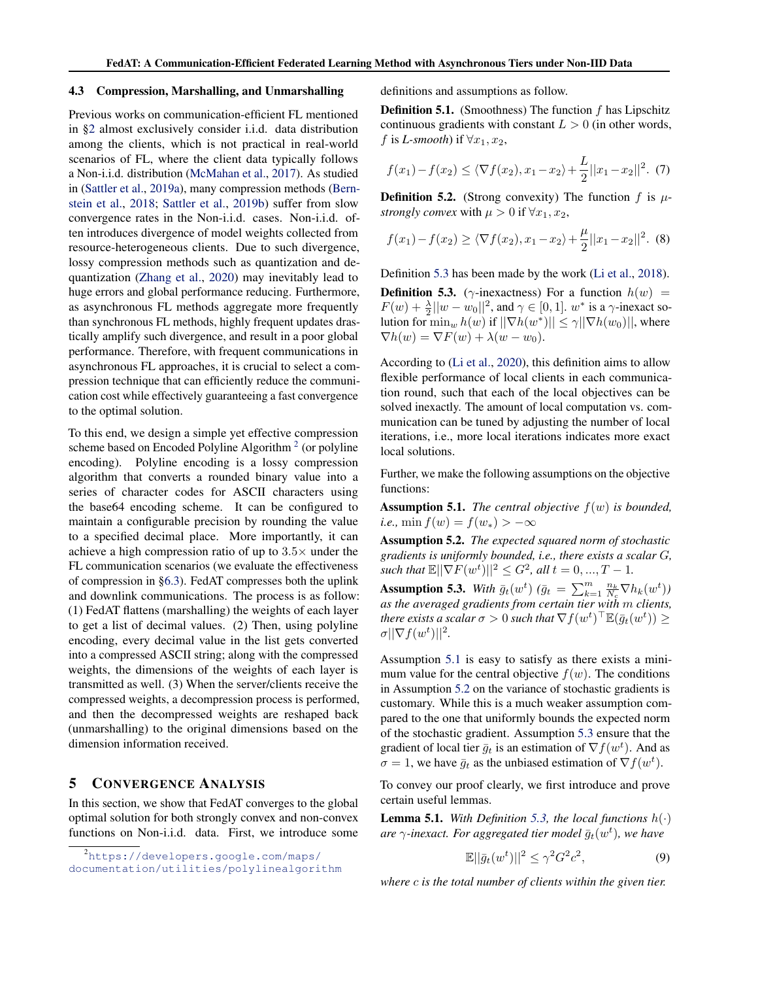#### <span id="page-5-0"></span>4.3 Compression, Marshalling, and Unmarshalling

Previous works on communication-efficient FL mentioned in [§2](#page-1-0) almost exclusively consider i.i.d. data distribution among the clients, which is not practical in real-world scenarios of FL, where the client data typically follows a Non-i.i.d. distribution [\(McMahan et al.,](#page-10-0) [2017\)](#page-10-0). As studied in [\(Sattler et al.,](#page-11-0) [2019a\)](#page-11-0), many compression methods [\(Bern](#page-10-0)[stein et al.,](#page-10-0) [2018;](#page-10-0) [Sattler et al.,](#page-11-0) [2019b\)](#page-11-0) suffer from slow convergence rates in the Non-i.i.d. cases. Non-i.i.d. often introduces divergence of model weights collected from resource-heterogeneous clients. Due to such divergence, lossy compression methods such as quantization and dequantization [\(Zhang et al.,](#page-11-0) [2020\)](#page-11-0) may inevitably lead to huge errors and global performance reducing. Furthermore, as asynchronous FL methods aggregate more frequently than synchronous FL methods, highly frequent updates drastically amplify such divergence, and result in a poor global performance. Therefore, with frequent communications in asynchronous FL approaches, it is crucial to select a compression technique that can efficiently reduce the communication cost while effectively guaranteeing a fast convergence to the optimal solution.

To this end, we design a simple yet effective compression scheme based on Encoded Polyline Algorithm<sup>2</sup> (or polyline encoding). Polyline encoding is a lossy compression algorithm that converts a rounded binary value into a series of character codes for ASCII characters using the base64 encoding scheme. It can be configured to maintain a configurable precision by rounding the value to a specified decimal place. More importantly, it can achieve a high compression ratio of up to  $3.5\times$  under the FL communication scenarios (we evaluate the effectiveness of compression in [§6.3\)](#page-8-0). FedAT compresses both the uplink and downlink communications. The process is as follow: (1) FedAT flattens (marshalling) the weights of each layer to get a list of decimal values. (2) Then, using polyline encoding, every decimal value in the list gets converted into a compressed ASCII string; along with the compressed weights, the dimensions of the weights of each layer is transmitted as well. (3) When the server/clients receive the compressed weights, a decompression process is performed, and then the decompressed weights are reshaped back (unmarshalling) to the original dimensions based on the dimension information received.

### 5 CONVERGENCE ANALYSIS

In this section, we show that FedAT converges to the global optimal solution for both strongly convex and non-convex functions on Non-i.i.d. data. First, we introduce some definitions and assumptions as follow.

**Definition 5.1.** (Smoothness) The function  $f$  has Lipschitz continuous gradients with constant  $L > 0$  (in other words, f is *L*-smooth) if  $\forall x_1, x_2$ ,

$$
f(x_1) - f(x_2) \le \langle \nabla f(x_2), x_1 - x_2 \rangle + \frac{L}{2} ||x_1 - x_2||^2. \tag{7}
$$

**Definition 5.2.** (Strong convexity) The function f is  $\mu$ *strongly convex* with  $\mu > 0$  if  $\forall x_1, x_2$ ,

$$
f(x_1) - f(x_2) \ge \langle \nabla f(x_2), x_1 - x_2 \rangle + \frac{\mu}{2} ||x_1 - x_2||^2. \tag{8}
$$

Definition 5.3 has been made by the work [\(Li et al.,](#page-10-0) [2018\)](#page-10-0).

**Definition 5.3.** ( $\gamma$ -inexactness) For a function  $h(w)$  =  $F(w) + \frac{\lambda}{2}||w - w_0||^2$ , and  $\gamma \in [0, 1]$ .  $w^*$  is a  $\gamma$ -inexact solution for  $\min_w h(w)$  if  $||\nabla h(w^*)|| \leq \gamma ||\nabla h(w_0)||$ , where  $\nabla h(w) = \nabla F(w) + \lambda (w - w_0).$ 

According to [\(Li et al.,](#page-10-0) [2020\)](#page-10-0), this definition aims to allow flexible performance of local clients in each communication round, such that each of the local objectives can be solved inexactly. The amount of local computation vs. communication can be tuned by adjusting the number of local iterations, i.e., more local iterations indicates more exact local solutions.

Further, we make the following assumptions on the objective functions:

Assumption 5.1. *The central objective* f(w) *is bounded, i.e.*, min  $f(w) = f(w_*) > -\infty$ 

Assumption 5.2. *The expected squared norm of stochastic gradients is uniformly bounded, i.e., there exists a scalar* G*, such that*  $\mathbb{E}||\nabla F(w^t)||^2 \leq G^2$ , all  $t = 0, ..., T - 1$ .

Assumption 5.3. With  $\bar{g}_t(w^t)$  ( $\bar{g}_t = \sum_{k=1}^m \frac{n_k}{N_c} \nabla h_k(w^t)$ ) *as the averaged gradients from certain tier with* m *clients,* there exists a scalar  $\sigma > 0$  such that  $\nabla f(w^t)^\top \mathbb{E}(\bar{g}_t(w^t)) \geq 0$  $\sigma ||\nabla f(w^t)||^2$ .

Assumption 5.1 is easy to satisfy as there exists a minimum value for the central objective  $f(w)$ . The conditions in Assumption 5.2 on the variance of stochastic gradients is customary. While this is a much weaker assumption compared to the one that uniformly bounds the expected norm of the stochastic gradient. Assumption 5.3 ensure that the gradient of local tier  $\bar{g}_t$  is an estimation of  $\nabla f(w^t)$ . And as  $\sigma = 1$ , we have  $\bar{g}_t$  as the unbiased estimation of  $\nabla f(w^t)$ .

To convey our proof clearly, we first introduce and prove certain useful lemmas.

**Lemma 5.1.** *With Definition* 5.3, the local functions  $h(\cdot)$ are  $\gamma$ -inexact. For aggregated tier model  $\bar{g}_t(w^t)$ , we have

$$
\mathbb{E}||\bar{g}_t(w^t)||^2 \le \gamma^2 G^2 c^2,\tag{9}
$$

*where* c *is the total number of clients within the given tier.*

<sup>2</sup>[https://developers.google.com/maps/](https://developers.google.com/maps/documentation/utilities/polylinealgorithm) [documentation/utilities/polylinealgorithm](https://developers.google.com/maps/documentation/utilities/polylinealgorithm)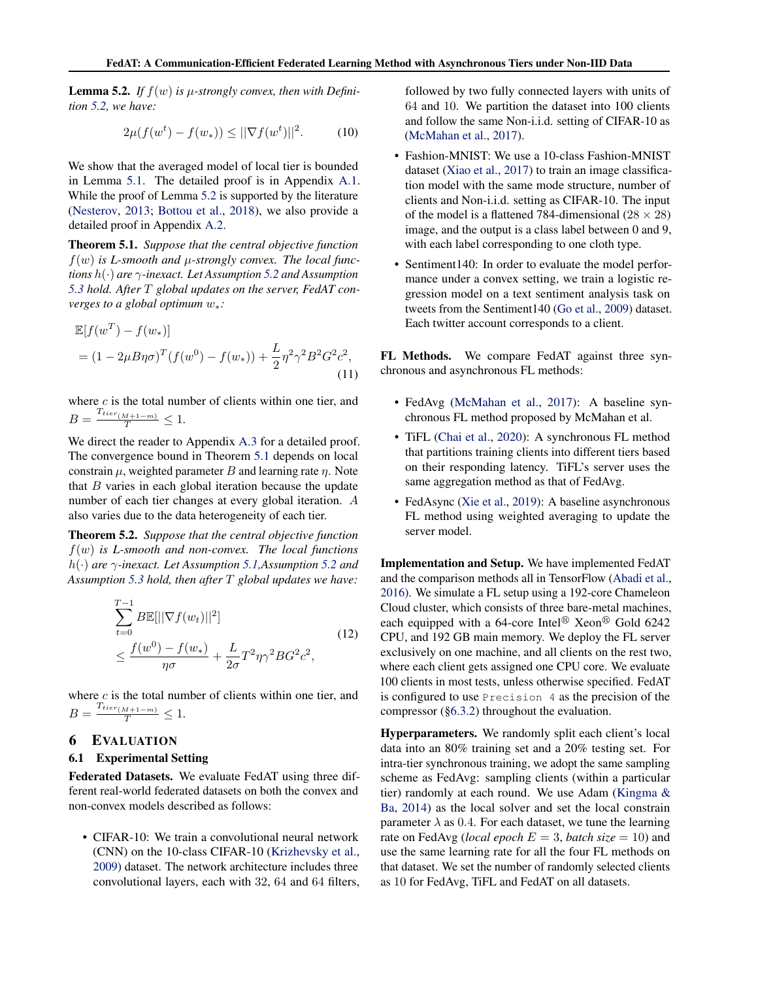<span id="page-6-0"></span>**Lemma 5.2.** If  $f(w)$  is  $\mu$ -strongly convex, then with Defini*tion [5.2,](#page-5-0) we have:*

$$
2\mu(f(w^t) - f(w_*)) \le ||\nabla f(w^t)||^2.
$$
 (10)

We show that the averaged model of local tier is bounded in Lemma [5.1.](#page-5-0) The detailed proof is in Appendix [A.1.](#page-12-0) While the proof of Lemma [5.2](#page-5-0) is supported by the literature [\(Nesterov,](#page-10-0) [2013;](#page-10-0) [Bottou et al.,](#page-10-0) [2018\)](#page-10-0), we also provide a detailed proof in Appendix [A.2.](#page-12-0)

Theorem 5.1. *Suppose that the central objective function*  $f(w)$  is L-smooth and  $\mu$ -strongly convex. The local func*tions* h(·) *are* γ*-inexact. Let Assumption [5.2](#page-5-0) and Assumption [5.3](#page-5-0) hold. After* T *global updates on the server, FedAT converges to a global optimum* w∗*:*

$$
\mathbb{E}[f(w^T) - f(w_*)]
$$
  
=  $(1 - 2\mu B\eta\sigma)^T (f(w^0) - f(w_*)) + \frac{L}{2}\eta^2\gamma^2 B^2 G^2 c^2,$  (11)

where  $c$  is the total number of clients within one tier, and  $B = \frac{T_{tier_{(M+1-m)}}}{T} \leq 1.$ 

We direct the reader to Appendix [A.3](#page-13-0) for a detailed proof. The convergence bound in Theorem 5.1 depends on local constrain  $\mu$ , weighted parameter B and learning rate  $\eta$ . Note that  $B$  varies in each global iteration because the update number of each tier changes at every global iteration. A also varies due to the data heterogeneity of each tier.

Theorem 5.2. *Suppose that the central objective function* f(w) *is L-smooth and non-convex. The local functions* h(·) *are* γ*-inexact. Let Assumption [5.1,](#page-5-0)Assumption [5.2](#page-5-0) and Assumption [5.3](#page-5-0) hold, then after* T *global updates we have:*

$$
\sum_{t=0}^{T-1} B\mathbb{E}[||\nabla f(w_t)||^2]
$$
\n
$$
\leq \frac{f(w^0) - f(w_*)}{\eta \sigma} + \frac{L}{2\sigma} T^2 \eta \gamma^2 B G^2 c^2,
$$
\n(12)

where  $c$  is the total number of clients within one tier, and  $B = \frac{T_{tier_{(M+1-m)}}}{T} \leq 1.$ 

### 6 EVALUATION

#### 6.1 Experimental Setting

Federated Datasets. We evaluate FedAT using three different real-world federated datasets on both the convex and non-convex models described as follows:

• CIFAR-10: We train a convolutional neural network (CNN) on the 10-class CIFAR-10 [\(Krizhevsky et al.,](#page-10-0) [2009\)](#page-10-0) dataset. The network architecture includes three convolutional layers, each with 32, 64 and 64 filters, followed by two fully connected layers with units of 64 and 10. We partition the dataset into 100 clients and follow the same Non-i.i.d. setting of CIFAR-10 as [\(McMahan et al.,](#page-10-0) [2017\)](#page-10-0).

- Fashion-MNIST: We use a 10-class Fashion-MNIST dataset [\(Xiao et al.,](#page-11-0) [2017\)](#page-11-0) to train an image classification model with the same mode structure, number of clients and Non-i.i.d. setting as CIFAR-10. The input of the model is a flattened 784-dimensional ( $28 \times 28$ ) image, and the output is a class label between 0 and 9, with each label corresponding to one cloth type.
- Sentiment140: In order to evaluate the model performance under a convex setting, we train a logistic regression model on a text sentiment analysis task on tweets from the Sentiment140 [\(Go et al.,](#page-10-0) [2009\)](#page-10-0) dataset. Each twitter account corresponds to a client.

FL Methods. We compare FedAT against three synchronous and asynchronous FL methods:

- FedAvg [\(McMahan et al.,](#page-10-0) [2017\)](#page-10-0): A baseline synchronous FL method proposed by McMahan et al.
- TiFL [\(Chai et al.,](#page-10-0) [2020\)](#page-10-0): A synchronous FL method that partitions training clients into different tiers based on their responding latency. TiFL's server uses the same aggregation method as that of FedAvg.
- FedAsync [\(Xie et al.,](#page-11-0) [2019\)](#page-11-0): A baseline asynchronous FL method using weighted averaging to update the server model.

Implementation and Setup. We have implemented FedAT and the comparison methods all in TensorFlow [\(Abadi et al.,](#page-10-0) [2016\)](#page-10-0). We simulate a FL setup using a 192-core Chameleon Cloud cluster, which consists of three bare-metal machines, each equipped with a 64-core Intel<sup>®</sup> Xeon<sup>®</sup> Gold 6242 CPU, and 192 GB main memory. We deploy the FL server exclusively on one machine, and all clients on the rest two, where each client gets assigned one CPU core. We evaluate 100 clients in most tests, unless otherwise specified. FedAT is configured to use Precision 4 as the precision of the compressor ([§6.3.2\)](#page-9-0) throughout the evaluation.

Hyperparameters. We randomly split each client's local data into an 80% training set and a 20% testing set. For intra-tier synchronous training, we adopt the same sampling scheme as FedAvg: sampling clients (within a particular tier) randomly at each round. We use Adam [\(Kingma &](#page-10-0) [Ba,](#page-10-0) [2014\)](#page-10-0) as the local solver and set the local constrain parameter  $\lambda$  as 0.4. For each dataset, we tune the learning rate on FedAvg (*local epoch*  $E = 3$ , *batch size* = 10) and use the same learning rate for all the four FL methods on that dataset. We set the number of randomly selected clients as 10 for FedAvg, TiFL and FedAT on all datasets.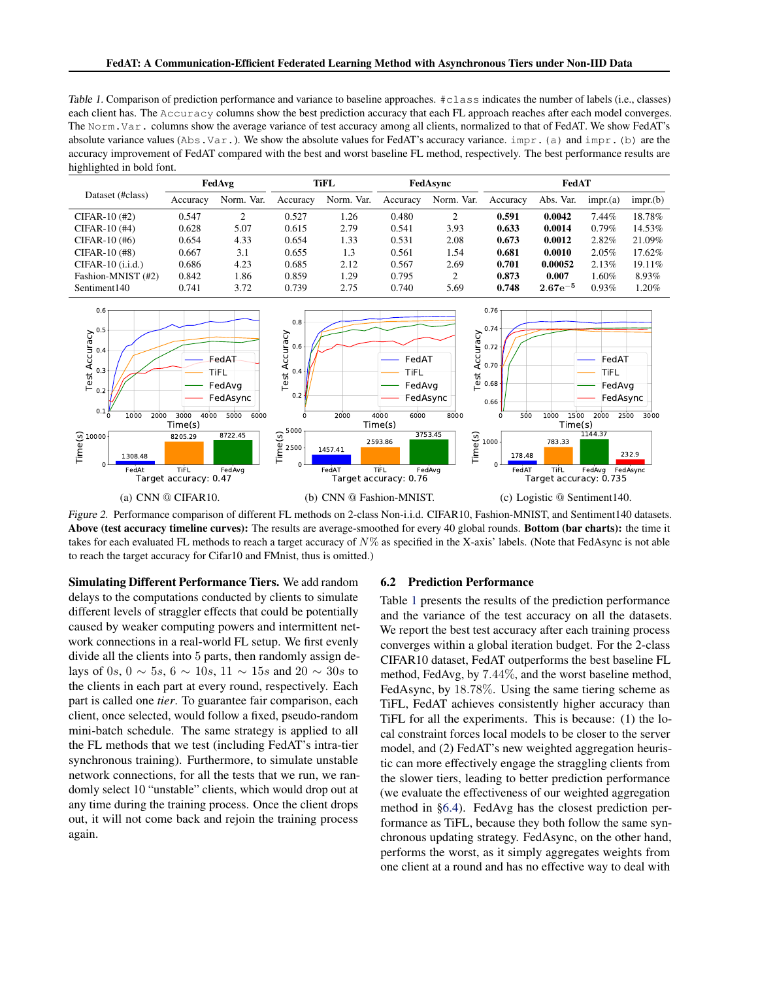<span id="page-7-0"></span>Table 1. Comparison of prediction performance and variance to baseline approaches. #class indicates the number of labels (i.e., classes) each client has. The Accuracy columns show the best prediction accuracy that each FL approach reaches after each model converges. The Norm.Var. columns show the average variance of test accuracy among all clients, normalized to that of FedAT. We show FedAT's absolute variance values ( $\text{Abs.Var.}$ ). We show the absolute values for FedAT's accuracy variance. impr. (a) and impr. (b) are the accuracy improvement of FedAT compared with the best and worst baseline FL method, respectively. The best performance results are highlighted in bold font.

|                     |          | FedAvg     |          | TiFL       |          | FedAsync   |          | FedAT        |          |           |
|---------------------|----------|------------|----------|------------|----------|------------|----------|--------------|----------|-----------|
| Dataset (#class)    | Accuracy | Norm. Var. | Accuracy | Norm. Var. | Accuracy | Norm. Var. | Accuracy | Abs. Var.    | impr(a)  | impr(b)   |
| $CIFAR-10$ (#2)     | 0.547    |            | 0.527    | 1.26       | 0.480    | 2          | 0.591    | 0.0042       | 7.44%    | 18.78%    |
| $CIFAR-10$ (#4)     | 0.628    | 5.07       | 0.615    | 2.79       | 0.541    | 3.93       | 0.633    | 0.0014       | $0.79\%$ | 14.53%    |
| $CIFAR-10$ (#6)     | 0.654    | 4.33       | 0.654    | 1.33       | 0.531    | 2.08       | 0.673    | 0.0012       | 2.82%    | 21.09%    |
| $CIFAR-10$ (#8)     | 0.667    | 3.1        | 0.655    | 1.3        | 0.561    | 1.54       | 0.681    | 0.0010       | 2.05%    | 17.62%    |
| $CIFAR-10$ (i.i.d.) | 0.686    | 4.23       | 0.685    | 2.12       | 0.567    | 2.69       | 0.701    | 0.00052      | 2.13%    | $19.11\%$ |
| Fashion-MNIST (#2)  | 0.842    | 1.86       | 0.859    | 1.29       | 0.795    | 2          | 0.873    | 0.007        | $1.60\%$ | 8.93%     |
| Sentiment140        | 0.741    | 3.72       | 0.739    | 2.75       | 0.740    | 5.69       | 0.748    | $2.67e^{-5}$ | 0.93%    | 1.20%     |



Figure 2. Performance comparison of different FL methods on 2-class Non-i.i.d. CIFAR10, Fashion-MNIST, and Sentiment140 datasets. Above (test accuracy timeline curves): The results are average-smoothed for every 40 global rounds. Bottom (bar charts): the time it takes for each evaluated FL methods to reach a target accuracy of  $N\%$  as specified in the X-axis' labels. (Note that FedAsync is not able to reach the target accuracy for Cifar10 and FMnist, thus is omitted.)

Simulating Different Performance Tiers. We add random delays to the computations conducted by clients to simulate different levels of straggler effects that could be potentially caused by weaker computing powers and intermittent network connections in a real-world FL setup. We first evenly divide all the clients into 5 parts, then randomly assign delays of 0s, 0 ∼ 5s, 6 ∼ 10s, 11 ∼ 15s and 20 ∼ 30s to the clients in each part at every round, respectively. Each part is called one *tier*. To guarantee fair comparison, each client, once selected, would follow a fixed, pseudo-random mini-batch schedule. The same strategy is applied to all the FL methods that we test (including FedAT's intra-tier synchronous training). Furthermore, to simulate unstable network connections, for all the tests that we run, we randomly select 10 "unstable" clients, which would drop out at any time during the training process. Once the client drops out, it will not come back and rejoin the training process again.

#### 6.2 Prediction Performance

Table 1 presents the results of the prediction performance and the variance of the test accuracy on all the datasets. We report the best test accuracy after each training process converges within a global iteration budget. For the 2-class CIFAR10 dataset, FedAT outperforms the best baseline FL method, FedAvg, by 7.44%, and the worst baseline method, FedAsync, by 18.78%. Using the same tiering scheme as TiFL, FedAT achieves consistently higher accuracy than TiFL for all the experiments. This is because: (1) the local constraint forces local models to be closer to the server model, and (2) FedAT's new weighted aggregation heuristic can more effectively engage the straggling clients from the slower tiers, leading to better prediction performance (we evaluate the effectiveness of our weighted aggregation method in [§6.4\)](#page-9-0). FedAvg has the closest prediction performance as TiFL, because they both follow the same synchronous updating strategy. FedAsync, on the other hand, performs the worst, as it simply aggregates weights from one client at a round and has no effective way to deal with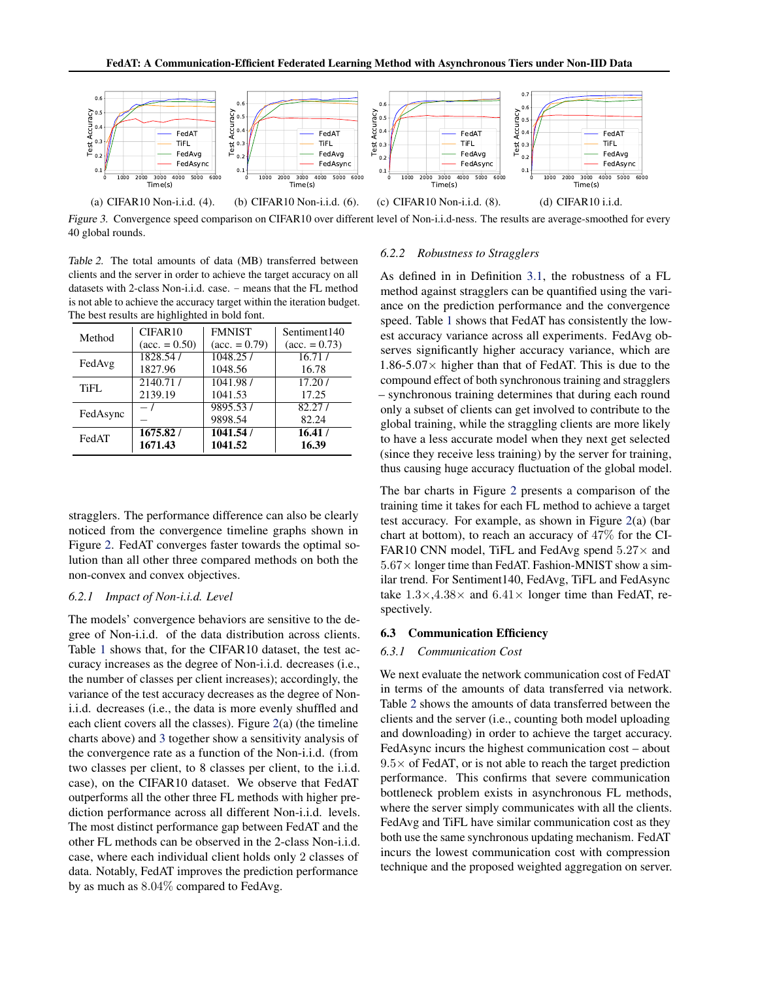<span id="page-8-0"></span>

Figure 3. Convergence speed comparison on CIFAR10 over different level of Non-i.i.d-ness. The results are average-smoothed for every 40 global rounds.

Table 2. The total amounts of data (MB) transferred between clients and the server in order to achieve the target accuracy on all datasets with 2-class Non-i.i.d. case. - means that the FL method is not able to achieve the accuracy target within the iteration budget. The best results are highlighted in bold font.

| Method   | CIFAR10                | <b>FMNIST</b>          | Sentiment <sub>140</sub> |
|----------|------------------------|------------------------|--------------------------|
|          | $(\text{acc.} = 0.50)$ | $(\text{acc.} = 0.79)$ | $(\text{acc.} = 0.73)$   |
| FedAvg   | 1828.54/               | 1048.257               | 16.71/                   |
|          | 1827.96                | 1048.56                | 16.78                    |
| TiFL     | 2140.71/               | 1041.98 /              | 17.20/                   |
|          | 2139.19                | 1041.53                | 17.25                    |
| FedAsync | $-1$                   | 9895.53/<br>9898.54    | 82.27/<br>82.24          |
| FedAT    | 1675.82/               | 1041.54 /              | 16.41/                   |
|          | 1671.43                | 1041.52                | 16.39                    |

stragglers. The performance difference can also be clearly noticed from the convergence timeline graphs shown in Figure [2.](#page-7-0) FedAT converges faster towards the optimal solution than all other three compared methods on both the non-convex and convex objectives.

#### *6.2.1 Impact of Non-i.i.d. Level*

The models' convergence behaviors are sensitive to the degree of Non-i.i.d. of the data distribution across clients. Table [1](#page-7-0) shows that, for the CIFAR10 dataset, the test accuracy increases as the degree of Non-i.i.d. decreases (i.e., the number of classes per client increases); accordingly, the variance of the test accuracy decreases as the degree of Noni.i.d. decreases (i.e., the data is more evenly shuffled and each client covers all the classes). Figure [2\(](#page-7-0)a) (the timeline charts above) and 3 together show a sensitivity analysis of the convergence rate as a function of the Non-i.i.d. (from two classes per client, to 8 classes per client, to the i.i.d. case), on the CIFAR10 dataset. We observe that FedAT outperforms all the other three FL methods with higher prediction performance across all different Non-i.i.d. levels. The most distinct performance gap between FedAT and the other FL methods can be observed in the 2-class Non-i.i.d. case, where each individual client holds only 2 classes of data. Notably, FedAT improves the prediction performance by as much as 8.04% compared to FedAvg.

#### *6.2.2 Robustness to Stragglers*

As defined in in Definition [3.1,](#page-3-0) the robustness of a FL method against stragglers can be quantified using the variance on the prediction performance and the convergence speed. Table [1](#page-7-0) shows that FedAT has consistently the lowest accuracy variance across all experiments. FedAvg observes significantly higher accuracy variance, which are  $1.86 - 5.07 \times$  higher than that of FedAT. This is due to the compound effect of both synchronous training and stragglers – synchronous training determines that during each round only a subset of clients can get involved to contribute to the global training, while the straggling clients are more likely to have a less accurate model when they next get selected (since they receive less training) by the server for training, thus causing huge accuracy fluctuation of the global model.

The bar charts in Figure [2](#page-7-0) presents a comparison of the training time it takes for each FL method to achieve a target test accuracy. For example, as shown in Figure [2\(](#page-7-0)a) (bar chart at bottom), to reach an accuracy of 47% for the CI-FAR10 CNN model, TiFL and FedAvg spend  $5.27\times$  and  $5.67\times$  longer time than FedAT. Fashion-MNIST show a similar trend. For Sentiment140, FedAvg, TiFL and FedAsync take  $1.3 \times 0.4.38 \times$  and  $6.41 \times$  longer time than FedAT, respectively.

#### 6.3 Communication Efficiency

#### *6.3.1 Communication Cost*

We next evaluate the network communication cost of FedAT in terms of the amounts of data transferred via network. Table 2 shows the amounts of data transferred between the clients and the server (i.e., counting both model uploading and downloading) in order to achieve the target accuracy. FedAsync incurs the highest communication cost – about  $9.5\times$  of FedAT, or is not able to reach the target prediction performance. This confirms that severe communication bottleneck problem exists in asynchronous FL methods, where the server simply communicates with all the clients. FedAvg and TiFL have similar communication cost as they both use the same synchronous updating mechanism. FedAT incurs the lowest communication cost with compression technique and the proposed weighted aggregation on server.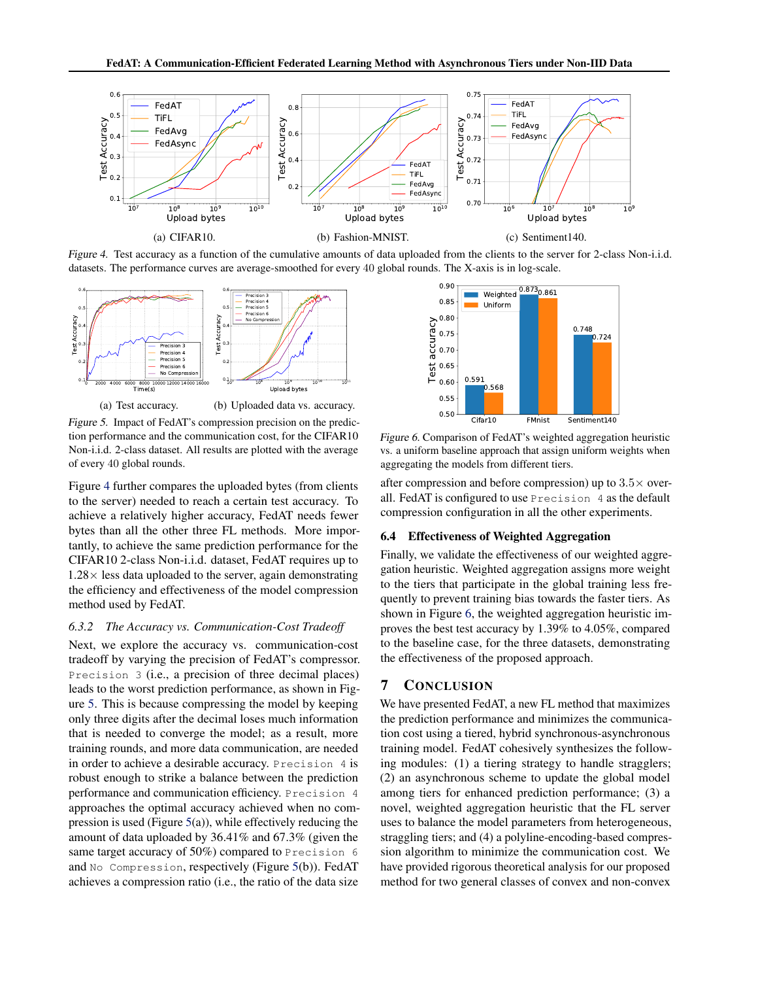<span id="page-9-0"></span>

Figure 4. Test accuracy as a function of the cumulative amounts of data uploaded from the clients to the server for 2-class Non-i.i.d. datasets. The performance curves are average-smoothed for every 40 global rounds. The X-axis is in log-scale.



(a) Test accuracy. (b) Uploaded data vs. accuracy.

Figure 5. Impact of FedAT's compression precision on the prediction performance and the communication cost, for the CIFAR10 Non-i.i.d. 2-class dataset. All results are plotted with the average of every 40 global rounds.

Figure 4 further compares the uploaded bytes (from clients to the server) needed to reach a certain test accuracy. To achieve a relatively higher accuracy, FedAT needs fewer bytes than all the other three FL methods. More importantly, to achieve the same prediction performance for the CIFAR10 2-class Non-i.i.d. dataset, FedAT requires up to  $1.28\times$  less data uploaded to the server, again demonstrating the efficiency and effectiveness of the model compression method used by FedAT.

#### *6.3.2 The Accuracy vs. Communication-Cost Tradeoff*

Next, we explore the accuracy vs. communication-cost tradeoff by varying the precision of FedAT's compressor. Precision 3 (i.e., a precision of three decimal places) leads to the worst prediction performance, as shown in Figure 5. This is because compressing the model by keeping only three digits after the decimal loses much information that is needed to converge the model; as a result, more training rounds, and more data communication, are needed in order to achieve a desirable accuracy. Precision 4 is robust enough to strike a balance between the prediction performance and communication efficiency. Precision 4 approaches the optimal accuracy achieved when no compression is used (Figure  $5(a)$ ), while effectively reducing the amount of data uploaded by 36.41% and 67.3% (given the same target accuracy of 50%) compared to Precision 6 and No Compression, respectively (Figure 5(b)). FedAT achieves a compression ratio (i.e., the ratio of the data size



Figure 6. Comparison of FedAT's weighted aggregation heuristic vs. a uniform baseline approach that assign uniform weights when aggregating the models from different tiers.

after compression and before compression) up to  $3.5\times$  overall. FedAT is configured to use Precision 4 as the default compression configuration in all the other experiments.

### 6.4 Effectiveness of Weighted Aggregation

Finally, we validate the effectiveness of our weighted aggregation heuristic. Weighted aggregation assigns more weight to the tiers that participate in the global training less frequently to prevent training bias towards the faster tiers. As shown in Figure 6, the weighted aggregation heuristic improves the best test accuracy by 1.39% to 4.05%, compared to the baseline case, for the three datasets, demonstrating the effectiveness of the proposed approach.

### 7 CONCLUSION

We have presented FedAT, a new FL method that maximizes the prediction performance and minimizes the communication cost using a tiered, hybrid synchronous-asynchronous training model. FedAT cohesively synthesizes the following modules: (1) a tiering strategy to handle stragglers; (2) an asynchronous scheme to update the global model among tiers for enhanced prediction performance; (3) a novel, weighted aggregation heuristic that the FL server uses to balance the model parameters from heterogeneous, straggling tiers; and (4) a polyline-encoding-based compression algorithm to minimize the communication cost. We have provided rigorous theoretical analysis for our proposed method for two general classes of convex and non-convex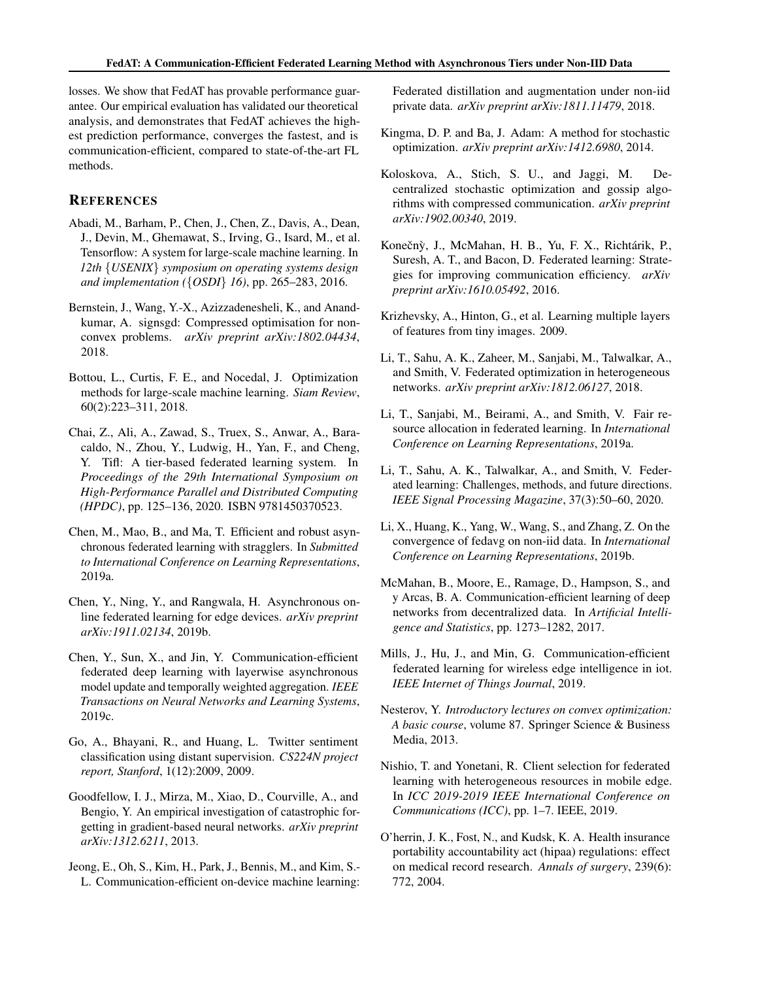<span id="page-10-0"></span>losses. We show that FedAT has provable performance guarantee. Our empirical evaluation has validated our theoretical analysis, and demonstrates that FedAT achieves the highest prediction performance, converges the fastest, and is communication-efficient, compared to state-of-the-art FL methods.

### **REFERENCES**

- Abadi, M., Barham, P., Chen, J., Chen, Z., Davis, A., Dean, J., Devin, M., Ghemawat, S., Irving, G., Isard, M., et al. Tensorflow: A system for large-scale machine learning. In *12th* {*USENIX*} *symposium on operating systems design and implementation (*{*OSDI*} *16)*, pp. 265–283, 2016.
- Bernstein, J., Wang, Y.-X., Azizzadenesheli, K., and Anandkumar, A. signsgd: Compressed optimisation for nonconvex problems. *arXiv preprint arXiv:1802.04434*, 2018.
- Bottou, L., Curtis, F. E., and Nocedal, J. Optimization methods for large-scale machine learning. *Siam Review*, 60(2):223–311, 2018.
- Chai, Z., Ali, A., Zawad, S., Truex, S., Anwar, A., Baracaldo, N., Zhou, Y., Ludwig, H., Yan, F., and Cheng, Y. Tifl: A tier-based federated learning system. In *Proceedings of the 29th International Symposium on High-Performance Parallel and Distributed Computing (HPDC)*, pp. 125–136, 2020. ISBN 9781450370523.
- Chen, M., Mao, B., and Ma, T. Efficient and robust asynchronous federated learning with stragglers. In *Submitted to International Conference on Learning Representations*, 2019a.
- Chen, Y., Ning, Y., and Rangwala, H. Asynchronous online federated learning for edge devices. *arXiv preprint arXiv:1911.02134*, 2019b.
- Chen, Y., Sun, X., and Jin, Y. Communication-efficient federated deep learning with layerwise asynchronous model update and temporally weighted aggregation. *IEEE Transactions on Neural Networks and Learning Systems*, 2019c.
- Go, A., Bhayani, R., and Huang, L. Twitter sentiment classification using distant supervision. *CS224N project report, Stanford*, 1(12):2009, 2009.
- Goodfellow, I. J., Mirza, M., Xiao, D., Courville, A., and Bengio, Y. An empirical investigation of catastrophic forgetting in gradient-based neural networks. *arXiv preprint arXiv:1312.6211*, 2013.
- Jeong, E., Oh, S., Kim, H., Park, J., Bennis, M., and Kim, S.- L. Communication-efficient on-device machine learning:

Federated distillation and augmentation under non-iid private data. *arXiv preprint arXiv:1811.11479*, 2018.

- Kingma, D. P. and Ba, J. Adam: A method for stochastic optimization. *arXiv preprint arXiv:1412.6980*, 2014.
- Koloskova, A., Stich, S. U., and Jaggi, M. Decentralized stochastic optimization and gossip algorithms with compressed communication. *arXiv preprint arXiv:1902.00340*, 2019.
- Konečný, J., McMahan, H. B., Yu, F. X., Richtárik, P., Suresh, A. T., and Bacon, D. Federated learning: Strategies for improving communication efficiency. *arXiv preprint arXiv:1610.05492*, 2016.
- Krizhevsky, A., Hinton, G., et al. Learning multiple layers of features from tiny images. 2009.
- Li, T., Sahu, A. K., Zaheer, M., Sanjabi, M., Talwalkar, A., and Smith, V. Federated optimization in heterogeneous networks. *arXiv preprint arXiv:1812.06127*, 2018.
- Li, T., Sanjabi, M., Beirami, A., and Smith, V. Fair resource allocation in federated learning. In *International Conference on Learning Representations*, 2019a.
- Li, T., Sahu, A. K., Talwalkar, A., and Smith, V. Federated learning: Challenges, methods, and future directions. *IEEE Signal Processing Magazine*, 37(3):50–60, 2020.
- Li, X., Huang, K., Yang, W., Wang, S., and Zhang, Z. On the convergence of fedavg on non-iid data. In *International Conference on Learning Representations*, 2019b.
- McMahan, B., Moore, E., Ramage, D., Hampson, S., and y Arcas, B. A. Communication-efficient learning of deep networks from decentralized data. In *Artificial Intelligence and Statistics*, pp. 1273–1282, 2017.
- Mills, J., Hu, J., and Min, G. Communication-efficient federated learning for wireless edge intelligence in iot. *IEEE Internet of Things Journal*, 2019.
- Nesterov, Y. *Introductory lectures on convex optimization: A basic course*, volume 87. Springer Science & Business Media, 2013.
- Nishio, T. and Yonetani, R. Client selection for federated learning with heterogeneous resources in mobile edge. In *ICC 2019-2019 IEEE International Conference on Communications (ICC)*, pp. 1–7. IEEE, 2019.
- O'herrin, J. K., Fost, N., and Kudsk, K. A. Health insurance portability accountability act (hipaa) regulations: effect on medical record research. *Annals of surgery*, 239(6): 772, 2004.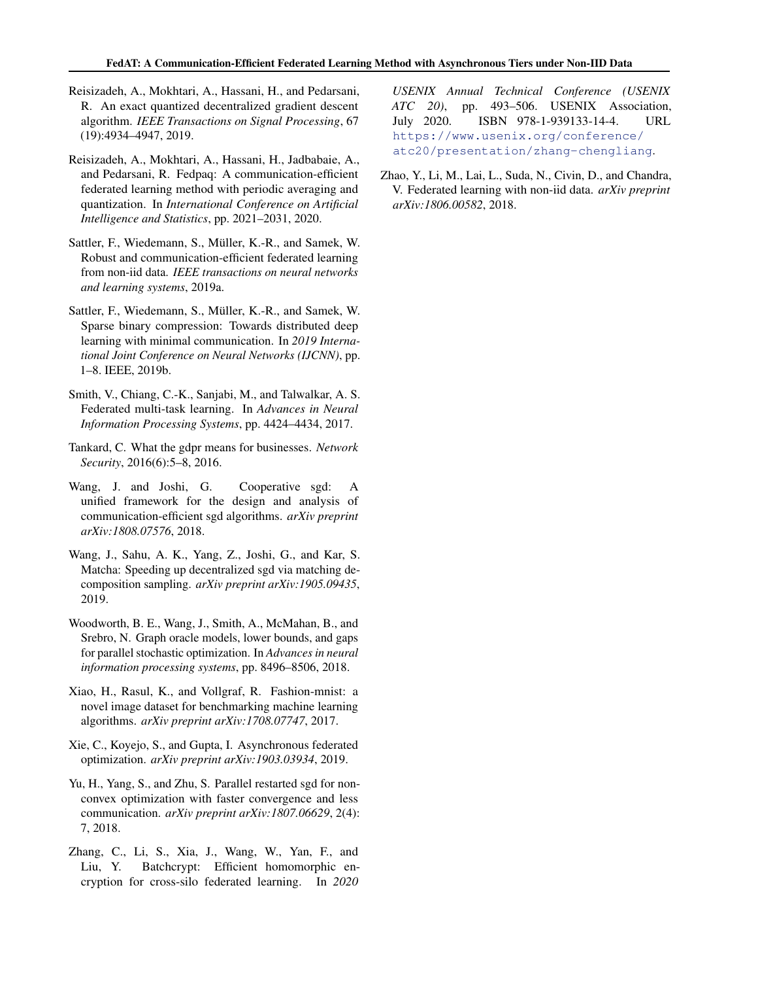- <span id="page-11-0"></span>Reisizadeh, A., Mokhtari, A., Hassani, H., and Pedarsani, R. An exact quantized decentralized gradient descent algorithm. *IEEE Transactions on Signal Processing*, 67 (19):4934–4947, 2019.
- Reisizadeh, A., Mokhtari, A., Hassani, H., Jadbabaie, A., and Pedarsani, R. Fedpaq: A communication-efficient federated learning method with periodic averaging and quantization. In *International Conference on Artificial Intelligence and Statistics*, pp. 2021–2031, 2020.
- Sattler, F., Wiedemann, S., Müller, K.-R., and Samek, W. Robust and communication-efficient federated learning from non-iid data. *IEEE transactions on neural networks and learning systems*, 2019a.
- Sattler, F., Wiedemann, S., Müller, K.-R., and Samek, W. Sparse binary compression: Towards distributed deep learning with minimal communication. In *2019 International Joint Conference on Neural Networks (IJCNN)*, pp. 1–8. IEEE, 2019b.
- Smith, V., Chiang, C.-K., Sanjabi, M., and Talwalkar, A. S. Federated multi-task learning. In *Advances in Neural Information Processing Systems*, pp. 4424–4434, 2017.
- Tankard, C. What the gdpr means for businesses. *Network Security*, 2016(6):5–8, 2016.
- Wang, J. and Joshi, G. Cooperative sgd: A unified framework for the design and analysis of communication-efficient sgd algorithms. *arXiv preprint arXiv:1808.07576*, 2018.
- Wang, J., Sahu, A. K., Yang, Z., Joshi, G., and Kar, S. Matcha: Speeding up decentralized sgd via matching decomposition sampling. *arXiv preprint arXiv:1905.09435*, 2019.
- Woodworth, B. E., Wang, J., Smith, A., McMahan, B., and Srebro, N. Graph oracle models, lower bounds, and gaps for parallel stochastic optimization. In *Advances in neural information processing systems*, pp. 8496–8506, 2018.
- Xiao, H., Rasul, K., and Vollgraf, R. Fashion-mnist: a novel image dataset for benchmarking machine learning algorithms. *arXiv preprint arXiv:1708.07747*, 2017.
- Xie, C., Koyejo, S., and Gupta, I. Asynchronous federated optimization. *arXiv preprint arXiv:1903.03934*, 2019.
- Yu, H., Yang, S., and Zhu, S. Parallel restarted sgd for nonconvex optimization with faster convergence and less communication. *arXiv preprint arXiv:1807.06629*, 2(4): 7, 2018.
- Zhang, C., Li, S., Xia, J., Wang, W., Yan, F., and Liu, Y. Batchcrypt: Efficient homomorphic encryption for cross-silo federated learning. In *2020*

*USENIX Annual Technical Conference (USENIX ATC 20)*, pp. 493–506. USENIX Association, July 2020. ISBN 978-1-939133-14-4. URL [https://www.usenix.org/conference/](https://www.usenix.org/conference/atc20/presentation/zhang-chengliang) [atc20/presentation/zhang-chengliang](https://www.usenix.org/conference/atc20/presentation/zhang-chengliang).

Zhao, Y., Li, M., Lai, L., Suda, N., Civin, D., and Chandra, V. Federated learning with non-iid data. *arXiv preprint arXiv:1806.00582*, 2018.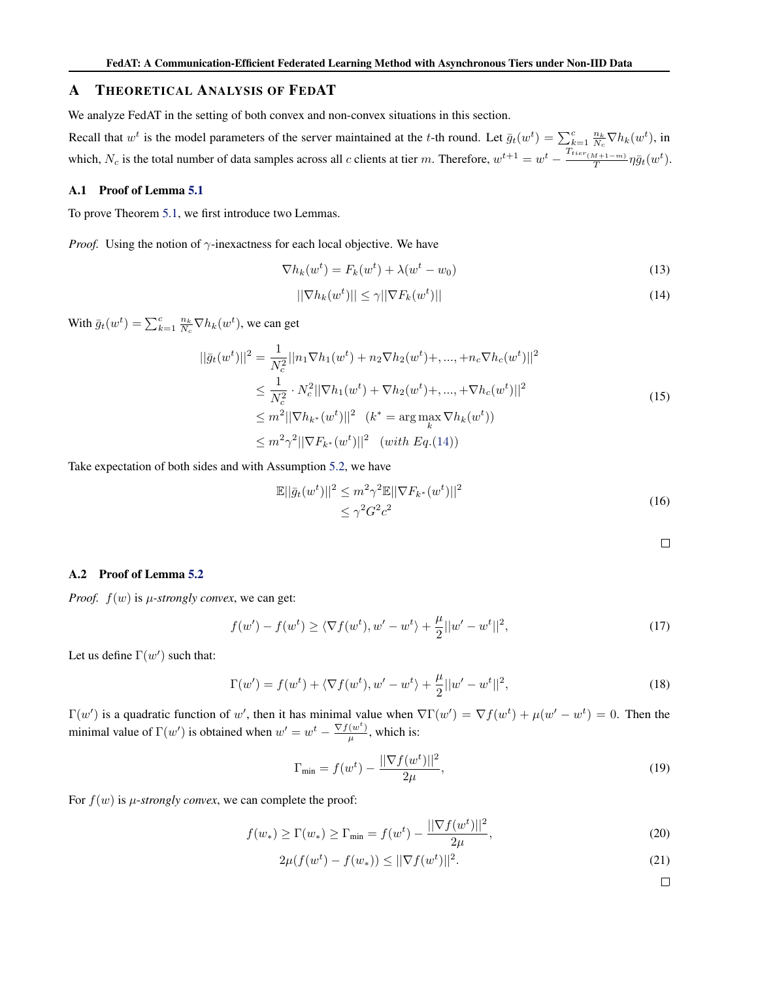### <span id="page-12-0"></span>A THEORETICAL ANALYSIS OF FEDAT

We analyze FedAT in the setting of both convex and non-convex situations in this section.

Recall that  $w^t$  is the model parameters of the server maintained at the t-th round. Let  $\bar{g}_t(w^t) = \sum_{k=1}^c \frac{n_k}{N_c} \nabla h_k(w^t)$ , in which,  $N_c$  is the total number of data samples across all c clients at tier m. Therefore,  $w^{t+1} = w^t - \frac{T_{tier_{(M+1-m)}}}{T}$  $\frac{M+1-m)}{T}\eta\bar{g}_t(w^t).$ 

### A.1 Proof of Lemma [5.1](#page-5-0)

To prove Theorem [5.1,](#page-6-0) we first introduce two Lemmas.

*Proof.* Using the notion of  $\gamma$ -inexactness for each local objective. We have

$$
\nabla h_k(w^t) = F_k(w^t) + \lambda (w^t - w_0)
$$
\n(13)

$$
||\nabla h_k(w^t)|| \le \gamma ||\nabla F_k(w^t)|| \tag{14}
$$

With  $\bar{g}_t(w^t) = \sum_{k=1}^c \frac{n_k}{N_c} \nabla h_k(w^t)$ , we can get

$$
||\bar{g}_t(w^t)||^2 = \frac{1}{N_c^2} ||n_1 \nabla h_1(w^t) + n_2 \nabla h_2(w^t) +, ..., + n_c \nabla h_c(w^t)||^2
$$
  
\n
$$
\leq \frac{1}{N_c^2} \cdot N_c^2 ||\nabla h_1(w^t) + \nabla h_2(w^t) +, ..., + \nabla h_c(w^t)||^2
$$
  
\n
$$
\leq m^2 ||\nabla h_{k^*}(w^t)||^2 \quad (k^* = \arg \max_{k} \nabla h_k(w^t))
$$
  
\n
$$
\leq m^2 \gamma^2 ||\nabla F_{k^*}(w^t)||^2 \quad (with \ Eq.(14))
$$
\n(15)

Take expectation of both sides and with Assumption [5.2,](#page-5-0) we have

$$
\mathbb{E}||\bar{g}_t(w^t)||^2 \le m^2 \gamma^2 \mathbb{E}||\nabla F_{k^*}(w^t)||^2
$$
  
 
$$
\le \gamma^2 G^2 c^2
$$
 (16)

$$
\qquad \qquad \Box
$$

#### A.2 Proof of Lemma [5.2](#page-5-0)

*Proof.*  $f(w)$  is  $\mu$ -strongly convex, we can get:

$$
f(w') - f(wt) \ge \langle \nabla f(wt), w' - wt \rangle + \frac{\mu}{2} ||w' - wt||2,
$$
\n(17)

Let us define  $\Gamma(w')$  such that:

$$
\Gamma(w') = f(w^t) + \langle \nabla f(w^t), w' - w^t \rangle + \frac{\mu}{2} ||w' - w^t||^2,
$$
\n(18)

 $\Gamma(w')$  is a quadratic function of w', then it has minimal value when  $\nabla \Gamma(w') = \nabla f(w^t) + \mu(w' - w^t) = 0$ . Then the minimal value of  $\Gamma(w')$  is obtained when  $w' = w^t - \frac{\nabla f(w^t)}{w}$  $\frac{(w)}{\mu}$ , which is:

$$
\Gamma_{\min} = f(w^t) - \frac{||\nabla f(w^t)||^2}{2\mu},\tag{19}
$$

For  $f(w)$  is *µ-strongly convex*, we can complete the proof:

$$
f(w_*) \ge \Gamma(w_*) \ge \Gamma_{\min} = f(w^t) - \frac{||\nabla f(w^t)||^2}{2\mu},
$$
\n(20)

$$
2\mu(f(w^t) - f(w_*)) \le ||\nabla f(w^t)||^2.
$$
 (21)

 $\Box$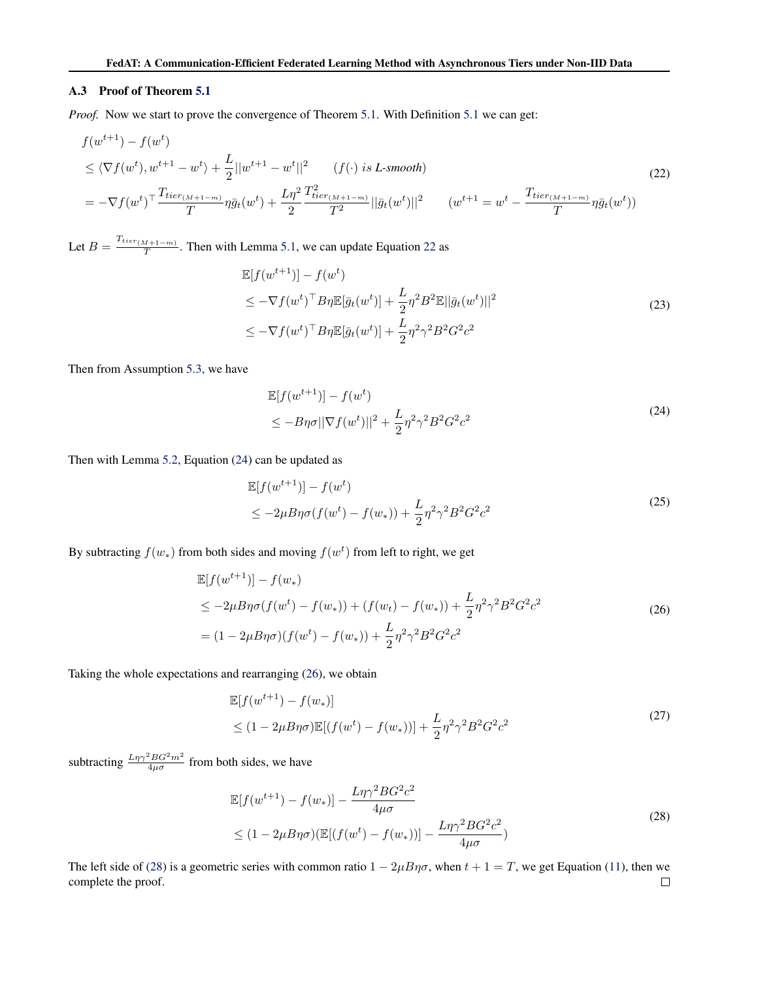#### <span id="page-13-0"></span>A.3 Proof of Theorem [5.1](#page-6-0)

*Proof.* Now we start to prove the convergence of Theorem [5.1.](#page-6-0) With Definition [5.1](#page-5-0) we can get:

$$
f(w^{t+1}) - f(w^t)
$$
  
\n
$$
\leq \langle \nabla f(w^t), w^{t+1} - w^t \rangle + \frac{L}{2} ||w^{t+1} - w^t||^2 \qquad (f(\cdot) \text{ is } L\text{-smooth})
$$
  
\n
$$
= -\nabla f(w^t)^\top \frac{T_{tier_{(M+1-m)}}}{T} \eta \bar{g}_t(w^t) + \frac{L\eta^2}{2} \frac{T_{tier_{(M+1-m)}}^2}{T^2} ||\bar{g}_t(w^t)||^2 \qquad (w^{t+1} = w^t - \frac{T_{tier_{(M+1-m)}}}{T} \eta \bar{g}_t(w^t))
$$
\n(22)

Let  $B = \frac{T_{tier_{(M+1-m)}}}{T}$  $\frac{M+1-m}{T}$ . Then with Lemma [5.1,](#page-5-0) we can update Equation 22 as

$$
\mathbb{E}[f(w^{t+1})] - f(w^t)
$$
\n
$$
\leq -\nabla f(w^t)^\top B \eta \mathbb{E}[\bar{g}_t(w^t)] + \frac{L}{2} \eta^2 B^2 \mathbb{E} ||\bar{g}_t(w^t)||^2
$$
\n
$$
\leq -\nabla f(w^t)^\top B \eta \mathbb{E}[\bar{g}_t(w^t)] + \frac{L}{2} \eta^2 \gamma^2 B^2 G^2 c^2
$$
\n(23)

Then from Assumption [5.3,](#page-5-0) we have

$$
\mathbb{E}[f(w^{t+1})] - f(w^t) \n\le -B\eta\sigma ||\nabla f(w^t)||^2 + \frac{L}{2}\eta^2\gamma^2B^2G^2c^2
$$
\n(24)

Then with Lemma [5.2,](#page-5-0) Equation (24) can be updated as

$$
\mathbb{E}[f(w^{t+1})] - f(w^t)
$$
  
\n
$$
\leq -2\mu B\eta\sigma(f(w^t) - f(w_*)) + \frac{L}{2}\eta^2\gamma^2B^2G^2c^2
$$
\n(25)

By subtracting  $f(w_*)$  from both sides and moving  $f(w^t)$  from left to right, we get

$$
\mathbb{E}[f(w^{t+1})] - f(w_*)
$$
\n
$$
\leq -2\mu B\eta\sigma(f(w^t) - f(w_*)) + (f(w_t) - f(w_*)) + \frac{L}{2}\eta^2\gamma^2B^2G^2c^2
$$
\n
$$
= (1 - 2\mu B\eta\sigma)(f(w^t) - f(w_*)) + \frac{L}{2}\eta^2\gamma^2B^2G^2c^2
$$
\n(26)

Taking the whole expectations and rearranging (26), we obtain

$$
\mathbb{E}[f(w^{t+1}) - f(w_*)]
$$
  
\n
$$
\leq (1 - 2\mu B\eta\sigma)\mathbb{E}[(f(w^t) - f(w_*))] + \frac{L}{2}\eta^2\gamma^2B^2G^2c^2
$$
\n(27)

subtracting  $\frac{L\eta\gamma^2 BG^2m^2}{4\mu\sigma}$  from both sides, we have

$$
\mathbb{E}[f(w^{t+1}) - f(w_*)] - \frac{L\eta\gamma^2 BG^2c^2}{4\mu\sigma}
$$
  
\n
$$
\leq (1 - 2\mu B\eta\sigma)(\mathbb{E}[(f(w^t) - f(w_*))] - \frac{L\eta\gamma^2 BG^2c^2}{4\mu\sigma})
$$
\n(28)

The left side of (28) is a geometric series with common ratio  $1 - 2\mu B\eta\sigma$ , when  $t + 1 = T$ , we get Equation [\(11\)](#page-6-0), then we complete the proof. $\Box$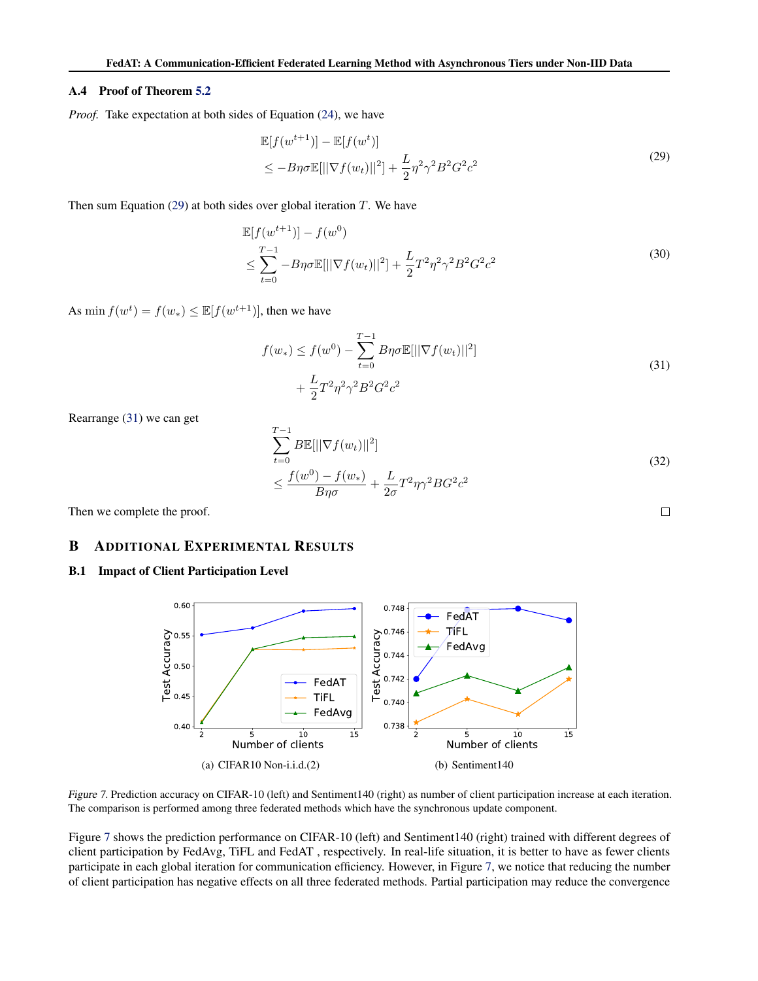#### <span id="page-14-0"></span>A.4 Proof of Theorem [5.2](#page-6-0)

*Proof.* Take expectation at both sides of Equation [\(24\)](#page-13-0), we have

$$
\mathbb{E}[f(w^{t+1})] - \mathbb{E}[f(w^t)]
$$
  
\n
$$
\leq -B\eta\sigma \mathbb{E}[||\nabla f(w_t)||^2] + \frac{L}{2}\eta^2\gamma^2B^2G^2c^2
$$
\n(29)

Then sum Equation (29) at both sides over global iteration  $T$ . We have

$$
\mathbb{E}[f(w^{t+1})] - f(w^0)
$$
\n
$$
\leq \sum_{t=0}^{T-1} -B\eta\sigma \mathbb{E}[||\nabla f(w_t)||^2] + \frac{L}{2}T^2\eta^2\gamma^2B^2G^2c^2
$$
\n(30)

As min  $f(w^t) = f(w_*) \leq \mathbb{E}[f(w^{t+1})]$ , then we have

$$
f(w_*) \le f(w^0) - \sum_{t=0}^{T-1} B\eta \sigma \mathbb{E}[||\nabla f(w_t)||^2] + \frac{L}{2} T^2 \eta^2 \gamma^2 B^2 G^2 c^2
$$
\n(31)

Rearrange (31) we can get

$$
\sum_{t=0}^{T-1} B\mathbb{E}[||\nabla f(w_t)||^2]
$$
\n
$$
\leq \frac{f(w^0) - f(w_*)}{B\eta\sigma} + \frac{L}{2\sigma}T^2\eta\gamma^2 BG^2c^2
$$
\n(32)

 $\Box$ 

Then we complete the proof.

### B ADDITIONAL EXPERIMENTAL RESULTS

### B.1 Impact of Client Participation Level



Figure 7. Prediction accuracy on CIFAR-10 (left) and Sentiment140 (right) as number of client participation increase at each iteration. The comparison is performed among three federated methods which have the synchronous update component.

Figure 7 shows the prediction performance on CIFAR-10 (left) and Sentiment140 (right) trained with different degrees of client participation by FedAvg, TiFL and FedAT , respectively. In real-life situation, it is better to have as fewer clients participate in each global iteration for communication efficiency. However, in Figure 7, we notice that reducing the number of client participation has negative effects on all three federated methods. Partial participation may reduce the convergence